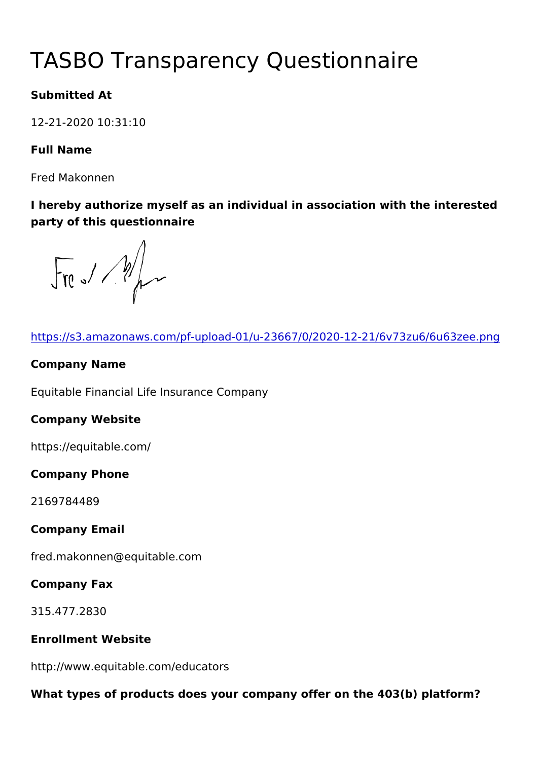# TASBO Transparency Questionna

Submitted At

12-21-2020 10:31:10

Full Name

Fred Makonnen

I hereby authorize myself as an individual in association with the party of this questionnaire

| https://s3.amazonaws.com/pf-upload-01/u-23667/0/2020-12-21/6v7   |
|------------------------------------------------------------------|
| Company Name                                                     |
| Equitable Financial Life Insurance Company                       |
| Company Website                                                  |
| https://equitable.com/                                           |
| Company Phone                                                    |
| 2169784489                                                       |
| Company Email                                                    |
| fred.makonnen@equitable.com                                      |
| Company Fax                                                      |
| 315.477.2830                                                     |
| Enrollment Website                                               |
| http://www.equitable.com/educators                               |
| What types of products does your company offer on the 403(b) pla |
|                                                                  |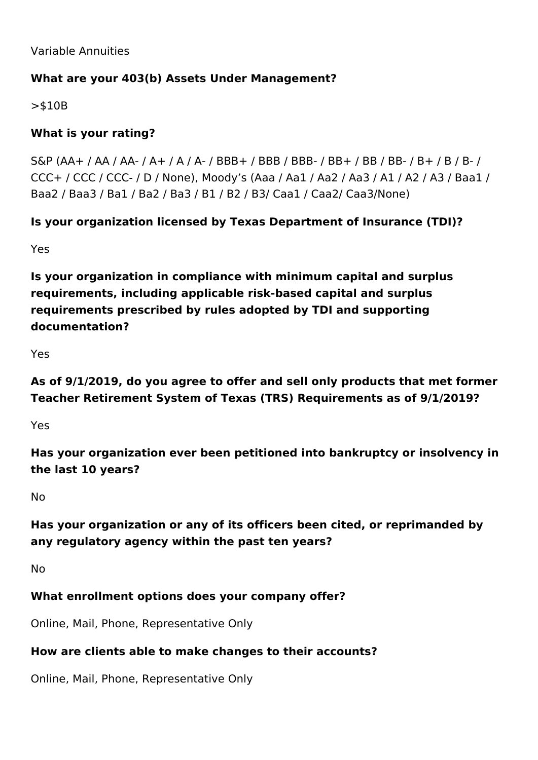#### Variable Annuities

# **What are your 403(b) Assets Under Management?**

>\$10B

# **What is your rating?**

S&P (AA+ / AA / AA- / A+ / A / A- / BBB+ / BBB / BBB- / BB+ / BB / BB- / B+ / B / B- / CCC+ / CCC / CCC- / D / None), Moody's (Aaa / Aa1 / Aa2 / Aa3 / A1 / A2 / A3 / Baa1 / Baa2 / Baa3 / Ba1 / Ba2 / Ba3 / B1 / B2 / B3/ Caa1 / Caa2/ Caa3/None)

# **Is your organization licensed by Texas Department of Insurance (TDI)?**

Yes

**Is your organization in compliance with minimum capital and surplus requirements, including applicable risk-based capital and surplus requirements prescribed by rules adopted by TDI and supporting documentation?**

Yes

**As of 9/1/2019, do you agree to offer and sell only products that met former Teacher Retirement System of Texas (TRS) Requirements as of 9/1/2019?**

Yes

**Has your organization ever been petitioned into bankruptcy or insolvency in the last 10 years?**

No

# **Has your organization or any of its officers been cited, or reprimanded by any regulatory agency within the past ten years?**

No

# **What enrollment options does your company offer?**

Online, Mail, Phone, Representative Only

# **How are clients able to make changes to their accounts?**

Online, Mail, Phone, Representative Only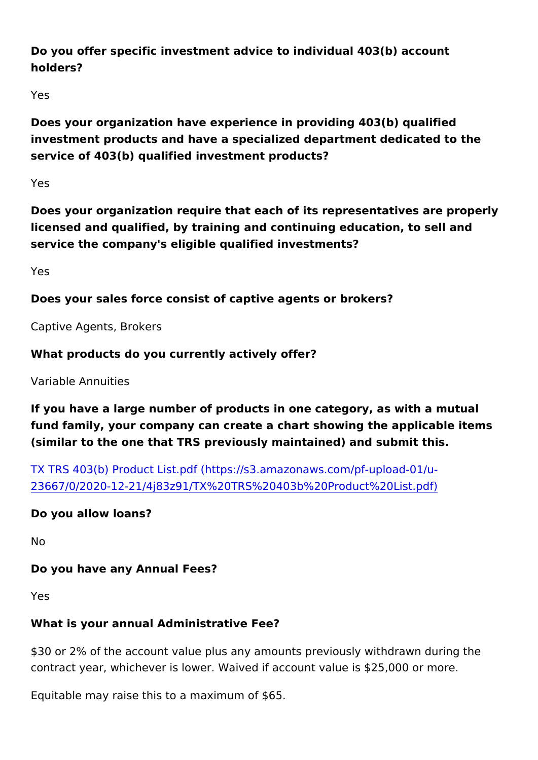Do you offer specific investment advice to individual 403(b) acco holders?

Yes

Does your organization have experience in providing 403(b) quali investment products and have a specialized department dedicated service of 403(b) qualified investment products?

Yes

Does your organization require that each of its representatives a licensed and qualified, by training and continuing education, to s service the company's eligible qualified investments?

Yes

Does your sales force consist of captive agents or brokers?

Captive Agents, Brokers

What products do you currently actively offer?

Variable Annuities

If you have a large number of products in one category, as with a fund family, your company can create a chart showing the applica (similar to the one that TRS previously maintained) and submit th

[TX TRS 403\(b\) Product List.pdf \(https://s3.amazonaw](https://s3.amazonaws.com/pf-upload-01/u-23667/0/2020-12-21/4j83z91/TX TRS 403b Product List.pdf)s.com/pf-upl [23667/0/2020-12-21/4j83z91/TX%20TRS%20403b%20P](https://s3.amazonaws.com/pf-upload-01/u-23667/0/2020-12-21/4j83z91/TX TRS 403b Product List.pdf)roduct%20Li

Do you allow loans?

No

Do you have any Annual Fees?

Yes

What is your annual Administrative Fee?

\$30 or 2% of the account value plus any amounts previously withe contract year, whichever is lower. Waived if account value is \$25

Equitable may raise this to a maximum of \$65.